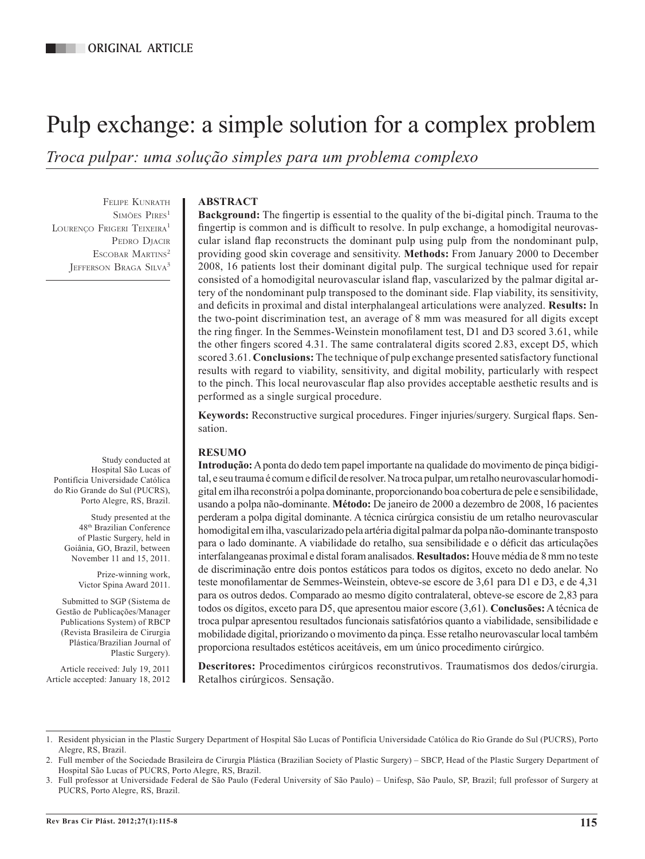# Pulp exchange: a simple solution for a complex problem

*Troca pulpar: uma solução simples para um problema complexo*

Felipe Kunrath SIMÕES PIRES<sup>1</sup> LOURENCO FRIGERI TEIXEIRA<sup>1</sup> PEDRO DIACIR ESCOBAR MARTINS<sup>2</sup> Jefferson Braga Silva3

**ABSTRACT**

**Background:** The fingertip is essential to the quality of the bi-digital pinch. Trauma to the fingertip is common and is difficult to resolve. In pulp exchange, a homodigital neurovascular island flap reconstructs the dominant pulp using pulp from the nondominant pulp, providing good skin coverage and sensitivity. **Methods:** From January 2000 to December 2008, 16 patients lost their dominant digital pulp. The surgical technique used for repair consisted of a homodigital neurovascular island flap, vascularized by the palmar digital artery of the nondominant pulp transposed to the dominant side. Flap viability, its sensitivity, and deficits in proximal and distal interphalangeal articulations were analyzed. **Results:** In the two-point discrimination test, an average of 8 mm was measured for all digits except the ring finger. In the Semmes-Weinstein monofilament test, D1 and D3 scored 3.61, while the other fingers scored 4.31. The same contralateral digits scored 2.83, except D5, which scored 3.61. **Conclusions:** The technique of pulp exchange presented satisfactory functional results with regard to viability, sensitivity, and digital mobility, particularly with respect to the pinch. This local neurovascular flap also provides acceptable aesthetic results and is performed as a single surgical procedure.

**Keywords:** Reconstructive surgical procedures. Finger injuries/surgery. Surgical flaps. Sensation.

## **RESUMO**

**Introdução:** A ponta do dedo tem papel importante na qualidade do movimento de pinça bidigital, e seu trauma é comum e difícil de resolver. Na troca pulpar, um retalho neurovascular homodigital em ilha reconstrói a polpa dominante, proporcionando boa cobertura de pele e sensibilidade, usando a polpa não-dominante. **Método:** De janeiro de 2000 a dezembro de 2008, 16 pacientes perderam a polpa digital dominante. A técnica cirúrgica consistiu de um retalho neurovascular homodigital em ilha, vascularizado pela artéria digital palmar da polpa não-dominante transposto para o lado dominante. A viabilidade do retalho, sua sensibilidade e o déficit das articulações interfalangeanas proximal e distal foram analisados. **Resultados:** Houve média de 8 mm no teste de discriminação entre dois pontos estáticos para todos os dígitos, exceto no dedo anelar. No teste monofilamentar de Semmes-Weinstein, obteve-se escore de 3,61 para D1 e D3, e de 4,31 para os outros dedos. Comparado ao mesmo dígito contralateral, obteve-se escore de 2,83 para todos os dígitos, exceto para D5, que apresentou maior escore (3,61). **Conclusões:** A técnica de troca pulpar apresentou resultados funcionais satisfatórios quanto a viabilidade, sensibilidade e mobilidade digital, priorizando o movimento da pinça. Esse retalho neurovascular local também proporciona resultados estéticos aceitáveis, em um único procedimento cirúrgico.

**Descritores:** Procedimentos cirúrgicos reconstrutivos. Traumatismos dos dedos/cirurgia. Retalhos cirúrgicos. Sensação.

Study conducted at Hospital São Lucas of Pontifícia Universidade Católica do Rio Grande do Sul (PUCRS), Porto Alegre, RS, Brazil.

Study presented at the 48th Brazilian Conference of Plastic Surgery, held in Goiânia, GO, Brazil, between November 11 and 15, 2011.

> Prize-winning work, Victor Spina Award 2011.

Submitted to SGP (Sistema de Gestão de Publicações/Manager Publications System) of RBCP (Revista Brasileira de Cirurgia Plástica/Brazilian Journal of Plastic Surgery).

Article received: July 19, 2011 Article accepted: January 18, 2012

<sup>1.</sup> Resident physician in the Plastic Surgery Department of Hospital São Lucas of Pontifícia Universidade Católica do Rio Grande do Sul (PUCRS), Porto Alegre, RS, Brazil.

<sup>2.</sup> Full member of the Sociedade Brasileira de Cirurgia Plástica (Brazilian Society of Plastic Surgery) – SBCP, Head of the Plastic Surgery Department of Hospital São Lucas of PUCRS, Porto Alegre, RS, Brazil.

<sup>3.</sup> Full professor at Universidade Federal de São Paulo (Federal University of São Paulo) – Unifesp, São Paulo, SP, Brazil; full professor of Surgery at PUCRS, Porto Alegre, RS, Brazil.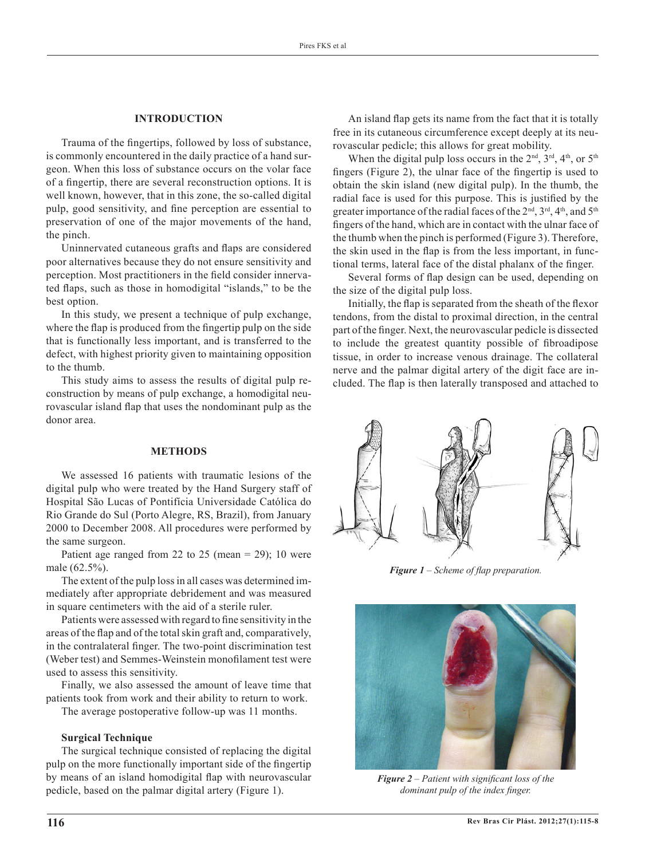## **INTRODUCTION**

Trauma of the fingertips, followed by loss of substance, is commonly encountered in the daily practice of a hand surgeon. When this loss of substance occurs on the volar face of a fingertip, there are several reconstruction options. It is well known, however, that in this zone, the so-called digital pulp, good sensitivity, and fine perception are essential to preservation of one of the major movements of the hand, the pinch.

Uninnervated cutaneous grafts and flaps are considered poor alternatives because they do not ensure sensitivity and perception. Most practitioners in the field consider innervated flaps, such as those in homodigital "islands," to be the best option.

In this study, we present a technique of pulp exchange, where the flap is produced from the fingertip pulp on the side that is functionally less important, and is transferred to the defect, with highest priority given to maintaining opposition to the thumb.

This study aims to assess the results of digital pulp reconstruction by means of pulp exchange, a homodigital neurovascular island flap that uses the nondominant pulp as the donor area.

# **METHODS**

We assessed 16 patients with traumatic lesions of the digital pulp who were treated by the Hand Surgery staff of Hospital São Lucas of Pontifícia Universidade Católica do Rio Grande do Sul (Porto Alegre, RS, Brazil), from January 2000 to December 2008. All procedures were performed by the same surgeon.

Patient age ranged from 22 to 25 (mean  $= 29$ ); 10 were male (62.5%).

The extent of the pulp loss in all cases was determined immediately after appropriate debridement and was measured in square centimeters with the aid of a sterile ruler.

Patients were assessed with regard to fine sensitivity in the areas of the flap and of the total skin graft and, comparatively, in the contralateral finger. The two-point discrimination test (Weber test) and Semmes-Weinstein monofilament test were used to assess this sensitivity.

Finally, we also assessed the amount of leave time that patients took from work and their ability to return to work.

The average postoperative follow-up was 11 months.

#### **Surgical Technique**

The surgical technique consisted of replacing the digital pulp on the more functionally important side of the fingertip by means of an island homodigital flap with neurovascular pedicle, based on the palmar digital artery (Figure 1).

An island flap gets its name from the fact that it is totally free in its cutaneous circumference except deeply at its neurovascular pedicle; this allows for great mobility.

When the digital pulp loss occurs in the  $2<sup>nd</sup>$ ,  $3<sup>rd</sup>$ ,  $4<sup>th</sup>$ , or  $5<sup>th</sup>$ fingers (Figure 2), the ulnar face of the fingertip is used to obtain the skin island (new digital pulp). In the thumb, the radial face is used for this purpose. This is justified by the greater importance of the radial faces of the  $2<sup>nd</sup>$ ,  $3<sup>rd</sup>$ ,  $4<sup>th</sup>$ , and  $5<sup>th</sup>$ fingers of the hand, which are in contact with the ulnar face of the thumb when the pinch is performed (Figure 3). Therefore, the skin used in the flap is from the less important, in functional terms, lateral face of the distal phalanx of the finger.

Several forms of flap design can be used, depending on the size of the digital pulp loss.

Initially, the flap is separated from the sheath of the flexor tendons, from the distal to proximal direction, in the central part of the finger. Next, the neurovascular pedicle is dissected to include the greatest quantity possible of fibroadipose tissue, in order to increase venous drainage. The collateral nerve and the palmar digital artery of the digit face are included. The flap is then laterally transposed and attached to



*Figure 1 – Scheme of flap preparation.*



*Figure 2 – Patient with significant loss of the dominant pulp of the index finger.*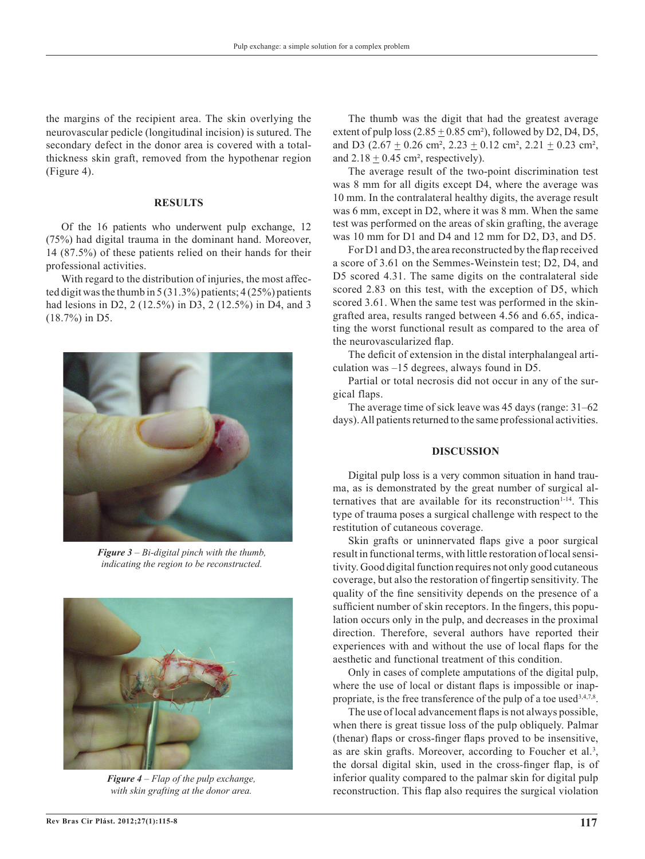the margins of the recipient area. The skin overlying the neurovascular pedicle (longitudinal incision) is sutured. The secondary defect in the donor area is covered with a totalthickness skin graft, removed from the hypothenar region (Figure 4).

#### **RESULTS**

Of the 16 patients who underwent pulp exchange, 12 (75%) had digital trauma in the dominant hand. Moreover, 14 (87.5%) of these patients relied on their hands for their professional activities.

With regard to the distribution of injuries, the most affected digit was the thumb in 5 (31.3%) patients; 4 (25%) patients had lesions in D2, 2 (12.5%) in D3, 2 (12.5%) in D4, and 3 (18.7%) in D5.



*Figure 3 – Bi-digital pinch with the thumb, indicating the region to be reconstructed.*



*Figure 4 – Flap of the pulp exchange, with skin grafting at the donor area.*

The thumb was the digit that had the greatest average extent of pulp loss  $(2.85 \pm 0.85 \text{ cm}^2)$ , followed by D2, D4, D5, and D3 ( $2.67 \pm 0.26$  cm<sup>2</sup>,  $2.23 \pm 0.12$  cm<sup>2</sup>,  $2.21 \pm 0.23$  cm<sup>2</sup>, and  $2.18 \pm 0.45$  cm<sup>2</sup>, respectively).

The average result of the two-point discrimination test was 8 mm for all digits except D4, where the average was 10 mm. In the contralateral healthy digits, the average result was 6 mm, except in D2, where it was 8 mm. When the same test was performed on the areas of skin grafting, the average was 10 mm for D1 and D4 and 12 mm for D2, D3, and D5.

For D1 and D3, the area reconstructed by the flap received a score of 3.61 on the Semmes-Weinstein test; D2, D4, and D5 scored 4.31. The same digits on the contralateral side scored 2.83 on this test, with the exception of D5, which scored 3.61. When the same test was performed in the skingrafted area, results ranged between 4.56 and 6.65, indicating the worst functional result as compared to the area of the neurovascularized flap.

The deficit of extension in the distal interphalangeal articulation was –15 degrees, always found in D5.

Partial or total necrosis did not occur in any of the surgical flaps.

The average time of sick leave was 45 days (range: 31–62 days). All patients returned to the same professional activities.

## **DISCUSSION**

Digital pulp loss is a very common situation in hand trauma, as is demonstrated by the great number of surgical alternatives that are available for its reconstruction<sup>1-14</sup>. This type of trauma poses a surgical challenge with respect to the restitution of cutaneous coverage.

Skin grafts or uninnervated flaps give a poor surgical result in functional terms, with little restoration of local sensitivity. Good digital function requires not only good cutaneous coverage, but also the restoration of fingertip sensitivity. The quality of the fine sensitivity depends on the presence of a sufficient number of skin receptors. In the fingers, this population occurs only in the pulp, and decreases in the proximal direction. Therefore, several authors have reported their experiences with and without the use of local flaps for the aesthetic and functional treatment of this condition.

Only in cases of complete amputations of the digital pulp, where the use of local or distant flaps is impossible or inappropriate, is the free transference of the pulp of a toe used  $3,4,7,8$ .

The use of local advancement flaps is not always possible, when there is great tissue loss of the pulp obliquely. Palmar (thenar) flaps or cross-finger flaps proved to be insensitive, as are skin grafts. Moreover, according to Foucher et al.<sup>3</sup>, the dorsal digital skin, used in the cross*-*finger flap, is of inferior quality compared to the palmar skin for digital pulp reconstruction. This flap also requires the surgical violation